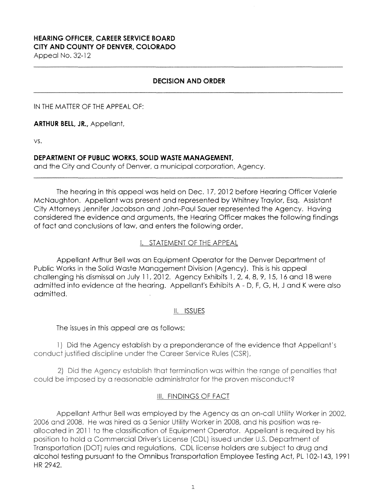# **HEARING OFFICER, CAREER SERVICE BOARD CITY AND COUNTY OF DENVER, COLORADO**

Appeal No. 32-12

## **DECISION AND ORDER**

IN THE MATTER OF THE APPEAL OF:

**ARTHUR BELL, JR.,** Appellant,

VS.

## **DEPARTMENT OF PUBLIC WORKS, SOLID WASTE MANAGEMENT,**

and the City and County of Denver, a municipal corporation, Agency.

The hearing in this appeal was held on Dec. 17, 2012 before Hearing Officer Valerie McNaughton. Appellant was present and represented by Whitney Traylor, Esq. Assistant City Attorneys Jennifer Jacobson and John-Paul Sauer represented the Agency. Having considered the evidence and arguments, the Hearing Officer makes the following findings of fact and conclusions of law, and enters the following order.

## i. STATEMENT OF THE APPEAL

Appellant Arthur Bell was an Equipment Operator for the Denver Department of Public Works in the Solid Waste Management Division (Agency). This is his appeal challenging his dismissal on July 11, 2012. Agency Exhibits 1, 2, 4, 8, 9, 15, 16 and 18 were admitted into evidence at the hearing. Appellant's Exhibits A - D, F, G, H, J and K were also admitted.

## ii. ISSUES

The issues in this appeal are as follows:

1) Did the Agency establish by a preponderance of the evidence that Appellant's conduct justified discipline under the Career Service Rules (CSR),

2) Did the Agency establish that termination was within the range of penalties that could be imposed by a reasonable administrator for the proven misconduct?

## Ill. FINDINGS OF FACT

Appellant Arthur Bell was employed by the Agency as an on-call Utility Worker in 2002, 2006 and 2008. He was hired as a Senior Utility Worker in 2008, and his position was reallocated in 2011 to the classification of Equipment Operator. Appellant is required by his position to hold a Commercial Driver's License (CDL) issued under U.S. Department of Transportation (DOT) rules and regulations. CDL license holders are subject to drug and alcohol testing pursuant to the Omnibus Transportation Employee Testing Act, PL 102-143, 1991 HR 2942.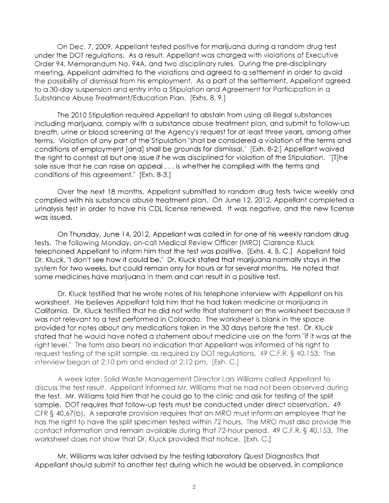On Dec. 7, 2009, Appellant tested positive for marijuana during a random drug test under the DOT regulations. As a result, Appellant was charged with violations of Executive Order 94, Memorandum No. 94A, and two disciplinary rules. During the pre-disciplinary meeting, Appellant admitted to the violations and agreed to a settlement in order to avoid the possibility of dismissal from his employment. As a part of the settlement, Appellant agreed to a 30-day suspension and entry into a Stipulation and Agreement for Participation in a Substance Abuse Treatment/Education Plan. [Exhs. 8, 9.]

The 2010 Stipulation required Appellant to abstain from using all illegal substances including marijuana, comply with a substance abuse treatment plan, and submit to follow-up breath, urine or blood screening at the Agency's request for at least three years, among other terms. Violation of any part of the Stipulation "shall be considered a violation of the terms and conditions of employment [and] shall be grounds for dismissal." [Exh. 8-2.J Appellant waived the right to contest all but one issue if he was disciplined for violation of the Stipulation. "[TJhe sole issue that he can raise on appeal ... is whether he complied with the terms and conditions of this agreement." [Exh. 8-3.]

Over the next 18 months, Appellant submitted to random drug tests twice weekly and complied with his substance abuse treatment plan. On June 12, 2012, Appellant completed a urinalysis test in order to have his CDL license renewed. It was negative, and the new license was issued.

On Thursday, June 14, 2012, Appellant was called in for one of his weekly random drug tests. The following Monday, on-call Medical Review Officer (MRO) Clarence Kluck telephoned Appellant to inform him that the test was positive. [Exhs. 4, B, C.] Appellant told Dr. Kluck, "I don't see how it could be." Dr. Kluck stated that marijuana normally stays in the system for two weeks, but could remain only for hours or for several months. He noted that some medicines have marijuana in them and can result in a positive test.

Dr. Kluck testified that he wrote notes of his telephone interview with Appellant on his worksheet. He believes Appellant told him that he had taken medicine or marijuana in California. Dr. Kluck testified that he did not write that statement on the worksheet because it was not relevant to a test performed in Colorado. The worksheet is blank in the space provided for notes about any medications taken in the 30 days before the test. Dr. Kluck stated that he would have noted a statement about medicine use on the form "if it was at the right level." The form aiso bears no indication that Appellant was informed of his right to request testing of the split sample, as required by DOT regulations. 49 C.F.R. § 40.153. The interview began at 2:10 pm and ended at 2:12 pm. [Exh. C.]

A week later, Solid Waste Management Director Lars Williams called Appellant to discuss the test result. Appellant informed Mr. Williams that he had not been observed during the test. Mr. Williams told him that he could go to the clinic and ask for testing of the split sample. DOT requires that follow-up tests must be conducted under direct observation. 49 CFR § 40.67(b). A separate provision requires that an MRO must inform an employee that he has the right to have the split specimen tested within 72 hours. The MRO must also provide the contact information and remain available during that 72-hour period. 49 C.F.R. § 40.153. The worksheet does not show that Dr. Kluck provided that notice. [Exh. C.]

Mr. Williams was later advised by the testing laboratory Quest Diagnostics that Appellant should submit to another test during which he would be observed, in compliance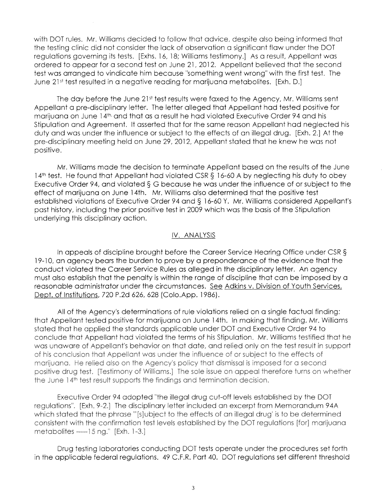with DOT rules. Mr. Williams decided to follow that advice, despite also being informed that the testing clinic did not consider the lack of observation a significant flaw under the DOT regulations governing its tests. [Exhs. 16, 18; Williams testimony.] As a result, Appellant was ordered to appear for a second test on June 21, 2012. Appellant believed that the second test was arranged to vindicate him because "something went wrong" with the first test. The June 21<sup>st</sup> test resulted in a negative reading for marijuana metabolites. [Exh. D.]

The day before the June 21st test results were faxed to the Agency, Mr. Williams sent Appellant a pre-disciplinary letter. The letter alleged that Appellant had tested positive for marijuana on June 14<sup>th</sup> and that as a result he had violated Executive Order 94 and his Stipulation and Agreement. It asserted that for the same reason Appellant had neglected his duty and was under the influence or subject to the effects of an illegal drug. [Exh. 2.] At the pre-disciplinary meeting held on June 29, 2012, Appellant stated that he knew **he** was not positive.

Mr. Williams made the decision to terminate Appellant based on the results of the June 14<sup>th</sup> test. He found that Appellant had violated CSR § 16-60 A by neglecting his duty to obey Executive Order 94, and violated § G because he was under the influence of or subject to the effect of marijuana on June 14th. Mr. Williams also determined that the positive test established violations of Executive Order 94 and§ 16-60 Y. Mr. Williams considered Appellant's past history, including the prior positive test in 2009 which was the basis of the Stipulation underlying this disciplinary action.

#### IV. ANALYSIS

In appeals of discipline brought before the Career Service Hearing Office under CSR § 19-10, an agency bears the burden to prove by a preponderance of the evidence that the conduct violated the Career Service Rules as alleged in the disciplinary letter. An agency must also establish that the penalty is within the range of discipline that can be imposed by a reasonable administrator under the circumstances. See Adkins v. Division of Youth Services, Dept. of Institutions, 720 P.2d 626, 628 (Colo.App. 1986).

All of the Agency's determinations of rule violations relied on a single factual finding: that Appellant tested positive for marijuana on June 14th. In making that finding, Mr. Williams stated that he applied the standards applicable under DOT and Executive Order 94 to conclude that Appellant had violated the terms of his Stipulation. Mr. Williams testified that he was unaware of Appellant's behavior on that date, and relied only on the test result in support of his conclusion that Appellant was under the influence of or subject to the effects of marijuana. He relied aiso on the Agency·s policy that dismissal is imposed for a second positive drug test. [Testimony of Williams.] The sole issue on appeal therefore turns on whether the June 14<sup>th</sup> test result supports the findings and termination decision.

Executive Order 94 adopted ''the illegal drug cut-off levels established by the DOT regulations". [Exh. 9-2.] The disciplinary letter included an excerpt from Memorandum 94A which stated that the phrase '"[s]ubject to the effects of an illegal drug' is to be determined consistent with the confirmation test levels established by the DOT regulations [for] marijuana metabolites  $-\frac{15}{9}$ ng." [Exh. 1-3.]

Drug testing laboratories conducting DOT tests operate under the procedures set forth in the applicable federal regulations. 49 C.F.R. Part 40. DOT regulations set different threshold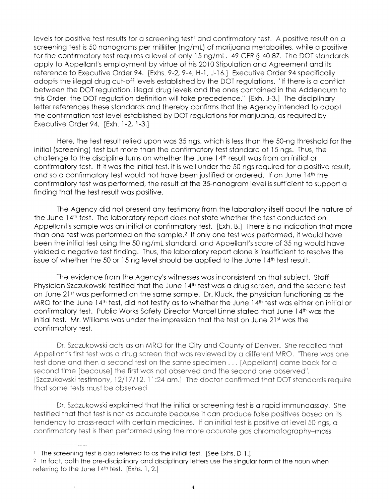levels for positive test results for a screening test<sup>1</sup> and confirmatory test. A positive result on a screening test is 50 nanograms per milliliter (ng/ml) of marijuana metabolites, while a positive for the confirmatory test requires a level of only 15 ng/ml. 49 CFR § 40.87. The DOT standards apply to Appellant's employment by virtue of his 2010 Stipulation and Agreement and its reference to Executive Order 94. [Exhs. 9-2, 9-4, H-1, J-16.] Executive Order 94 specifically adopts the illegal drug cut-off levels established by the DOT regulations. "If there is a conflict between the DOT regulation, illegal drug levels and the ones contained in the Addendum to this Order, the DOT regulation definition will take precedence." [Exh. J-3.] The disciplinary letter references these standards and thereby confirms that the Agency intended to adopt the confirmation test level established by DOT regulations for marijuana, as required by Executive Order 94. [Exh. 1-2, 1-3.]

Here, the test result relied upon was 35 ngs, which is less than the 50-ng threshold for the initial (screening} test but more than the confirmatory test standard of 15 ngs. Thus, the challenge to the discipline turns on whether the June 14th result was from an initial or confirmatory test. If it was the initial test, it is well under the 50 ngs required for a positive result, and so a confirmatory test would not have been justified or ordered. If on June 14th the confirmatory test was performed, the result at the 35-nanogram level is sufficient to support a finding that the test result was positive.

The Agency did not present any testimony from the laboratory itself about the nature of the June 14<sup>th</sup> test. The laboratory report does not state whether the test conducted on Appellant's sample was an initial or confirmatory test. [Exh. B.] There is no indication that more than one test was performed on the sample.<sup>2</sup> If only one test was performed, it would have been the initial test using the 50 ng/ml standard, and Appellant's score of 35 ng would have yielded a negative test finding. Thus, the laboratory report alone is insufficient to resolve the issue of whether the 50 or 15 ng level should be applied to the June 14<sup>th</sup> test result.

The evidence from the Agency's witnesses was inconsistent on that subject. Staff Physician Szczukowski testified that the June 14<sup>th</sup> test was a drug screen, and the second test on June 21st was performed on the same sample. Dr. Kluck, the physician functioning as the MRO for the June 14<sup>th</sup> test, did not testify as to whether the June 14<sup>th</sup> test was either an initial or confirmatory test. Public Works Safety Director Marcel Linne stated that June 14th was the initial test. Mr. Williams was under the impression that the test on June 21<sup>st</sup> was the confirmatory test.

Dr. Szczukowski acts as an MRO for the City and County of Denver. She recalled that Appellant's first test was a drug screen that was reviewed by a different MRO. 'There was one test done and then a second test on the same specimen . . . [Appellant] came back for a second time [because] the first was not observed and the second one observed". [Szczukowski testimony, 12/17 /12, 11 :24 am.] The doctor confirmed that DOT standards require that some tests must be observed.

Dr. Szczukowski explained that the initial or screening test is a rapid immunoassay. She testified that that test is not as accurate because it can produce false positives based on its tendency to cross-react with certain medicines. If an initial test is positive at level 50 ngs, a confirmatory test is then performed using the more accurate gas chromatography-mass

<sup>1</sup> The screening test is also referred to as the initial test. [See Exhs. D-1.J

<sup>&</sup>lt;sup>2</sup> In fact, both the pre-disciplinary and disciplinary letters use the singular form of the noun when referring to the June 14th test. [Exhs. 1, 2.]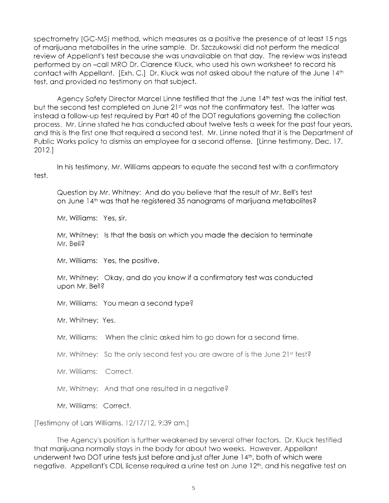spectrometry (GC-MS) method, which measures as a positive the presence of at least 15 ngs of marijuana metabolites in the urine sample. Dr. Szczukowski did not perform the medical review of Appellant's test because she was unavailable on that day. The review was instead performed by on -call MRO Dr. Clarence Kluck, who used his own worksheet to record his contact with Appellant. [Exh. C.] Dr. Kluck was not asked about the nature of the June 14th test, and provided no testimony on that subject.

Agency Safety Director Marcel Linne testified that the June 14th test was the initial test, but the second test completed on June 21st was not the confirmatory test. The latter was instead a follow-up test required by Part 40 of the DOT regulations governing the collection process. Mr. Linne stated he has conducted about twelve tests a week for the past four years, and this is the first one that required a second test. Mr. Linne noted that it is the Department of Public Works policy to dismiss an employee for a second offense. [Linne testimony, Dec. 17, 2012.]

test. In his testimony, Mr. Williams appears to equate the second test with a confirmatory

Question by Mr. Whitney: And do you believe that the result of Mr. Bell's test on June 14<sup>th</sup> was that he registered 35 nanograms of marijuana metabolites?

Mr. Williams: Yes, sir.

Mr, Whitney: Is that the basis on which you made the decision to terminate **Mr.** Bell?

Mr. Williams: Yes, the positive.

Mr. Whitney: Okay, and do you know if a confirmatory test was conducted upon Mr. Bell?

Mr. Williams: You mean a second type?

Mr. Whitney: Yes.

Mr. Williams: When the clinic asked him to go down for a second time.

Mr. Whitney: So the only second test you are aware of is the June  $21st$  test?

Mr. Williams: Correct.

Mr. Whitney: And that one resulted in a negative?

Mr. Williams: Correct.

[Testimony of Lars Williams, 12/17/12, 9:39 am.]

The Agency's position is further weakened by several other factors. Dr. Kluck testified that marijuana normally stays in the body for about two weeks. However, Appellant underwent two DOT urine tests just before and just after June 14<sup>th</sup>, both of which were negative. Appellant's CDL license required a urine test on June 12th, and his negative test on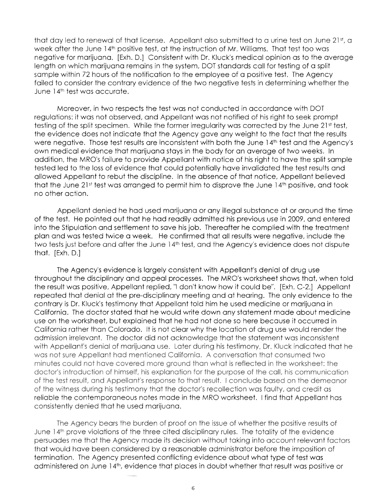that day led to renewal of that license. Appellant also submitted to a urine test on June 21<sup>st</sup>, a **week after the June** 14th **positive test, at the instruction of Mr. Williams. That test too** was **negative for marijuana. [Exh. D.] Consistent with Dr. Kluck's medical opinion** as to **the average length on which marijuana remains in the system, DOT** standards **call for testing** of a split **sample within 72 hours of the notification to the employee of a positive test.** The Agency failed to **consider the** contrary **evidence of** the two **negative tests in determining** whether **the June** 14th **test** was **accurate.** 

Moreover, in two respects the test was not conducted in accordance with DOT regulations: it was not observed, and Appellant was not notified of his right to seek prompt testing of the split specimen. While the former irregularity was corrected by the June 21<sup>st</sup> test, the evidence does not indicate that the Agency gave any weight to the fact that the results were negative. Those test results are inconsistent with both the June 14th **test** and the Agency's own medical evidence that marijuana stays in the body for an average of two weeks. In addition, the MRO's failure to provide Appellant with notice of his right to have the split sample tested led to the loss of evidence that could potentially have invalidated the test results and allowed Appellant to rebut the discipline. In the absence of that notice, Appellant believed that the June 21st test was arranged to permit him to disprove the June 14th positive, and took no other action.

Appellant denied he had used marijuana or any illegal substance at or around the time of the test. He pointed out that he had readily admitted his previous use in 2009, and entered into the Stipulation and settlement to save his job. Thereafter he complied with the treatment plan and was tested twice a week. He confirmed that all results were negative, include the **two** tests just before and after **the** June 14th **test,** and the Agency's evidence does not dispute that. [Exh. D.J

The Agency's evidence is largely consistent with Appellant's denial of drug use throughout the disciplinary and appeal processes. The MRO's worksheet shows that, when told the result was positive, Appellant replied, "I don't know how it could be". [Exh. C-2.J Appellant repeated that denial at the pre-disciplinary meeting and at hearing. The only evidence to the contrary is Dr. Kluck's testimony that Appellant told him he used medicine or marijuana in California. The doctor stated that he would write down any statement made about medicine use on the worksheet, but explained that he had not done so here because it occurred in California rather than Colorado. It is not clear why the location of drug use would render the **admission irrelevant.** The doctor did not **acknowledge** that the **statement** was inconsistent **with Appellant's denial of marijuana** use. **Later during his testimony, Dr. Kluck indicated that he was not sure Appellant had mentioned California. A conversation that consumed two minutes could not have covered more ground than what is reflected in the worksheet: the doctor's introduction of himself, his explanation for the purpose of the call, his communication of the test result, and Appellant's response to that result. I conclude based on the demeanor of the witness during his testimony that the doctor's recollection was faulty, and credit as reliable** the contemporaneous **notes** made in the MRO worksheet. I find **that** Appellant has **consistently denied that he used marijuana.** 

**The Agency bears the burden of proof on the issue of whether the positive results of June 14th prove violations of the three cited disciplinary rules. The totality of the evidence persuades me that the Agency made its decision without taking into account relevant factors**  that would have been considered by a reasonable administrator before the imposition of termination. The Agency presented conflicting evidence about what type of test **was**  administered on June 14th, evidence that places in doubt whether that result was positive or